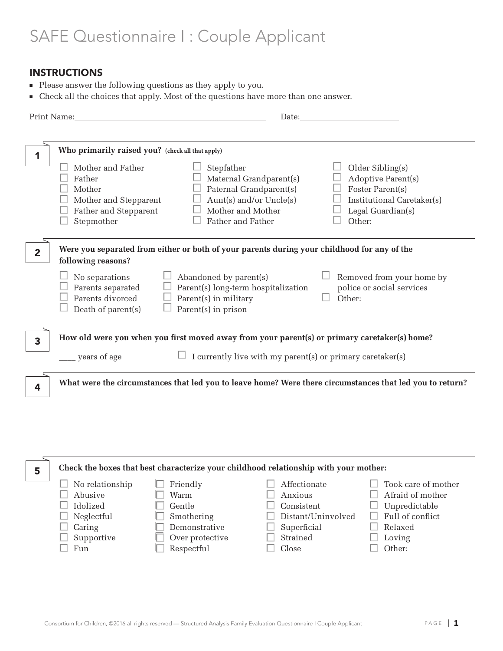# SAFE Questionnaire I : Couple Applicant

# INSTRUCTIONS

- <sup>n</sup> Please answer the following questions as they apply to you.
- <sup>n</sup> Check all the choices that apply. Most of the questions have more than one answer.

| Print Name:                                            |                                                                                                                                                                                                                                      | Date: the contract of the contract of the contract of the contract of the contract of the contract of the contract of the contract of the contract of the contract of the contract of the contract of the contract of the cont |                                                                                                                         |
|--------------------------------------------------------|--------------------------------------------------------------------------------------------------------------------------------------------------------------------------------------------------------------------------------------|--------------------------------------------------------------------------------------------------------------------------------------------------------------------------------------------------------------------------------|-------------------------------------------------------------------------------------------------------------------------|
| Father<br>Mother<br>Stepmother                         | Who primarily raised you? (check all that apply)<br>Mother and Father<br>Stepfather<br>Mother and Stepparent<br>Father and Stepparent                                                                                                | Maternal Grandparent(s)<br>Paternal Grandparent(s)<br>Aunt(s) and/or Uncle(s)<br>Mother and Mother<br>Father and Father                                                                                                        | Older Sibling(s)<br>Adoptive Parent(s)<br>Foster Parent(s)<br>Institutional Caretaker(s)<br>Legal Guardian(s)<br>Other: |
| $\overline{2}$<br>following reasons?<br>No separations | Were you separated from either or both of your parents during your childhood for any of the<br>Abandoned by parent(s)<br>Parents separated<br>Parents divorced<br>Parent(s) in military<br>Death of parent(s)<br>Parent(s) in prison | Parent(s) long-term hospitalization                                                                                                                                                                                            | Removed from your home by<br>police or social services<br>Other:                                                        |
| 3<br>years of age                                      | How old were you when you first moved away from your parent(s) or primary caretaker(s) home?                                                                                                                                         | I currently live with my parent(s) or primary caretaker(s)                                                                                                                                                                     |                                                                                                                         |
| 4                                                      | What were the circumstances that led you to leave home? Were there circumstances that led you to return?                                                                                                                             |                                                                                                                                                                                                                                |                                                                                                                         |

| 5 |                 |                 | Check the boxes that best characterize your childhood relationship with your mother: |                     |
|---|-----------------|-----------------|--------------------------------------------------------------------------------------|---------------------|
|   | No relationship | Friendly        | Affectionate                                                                         | Took care of mother |
|   | Abusive         | Warm            | Anxious                                                                              | Afraid of mother    |
|   | Idolized        | Gentle          | Consistent                                                                           | Unpredictable       |
|   | Neglectful      | Smothering      | Distant/Uninvolved                                                                   | Full of conflict    |
|   | Caring          | Demonstrative   | Superficial                                                                          | Relaxed             |
|   | Supportive      | Over protective | Strained                                                                             | Loving              |
|   | Fun             | Respectful      | Close                                                                                | Other:              |
|   |                 |                 |                                                                                      |                     |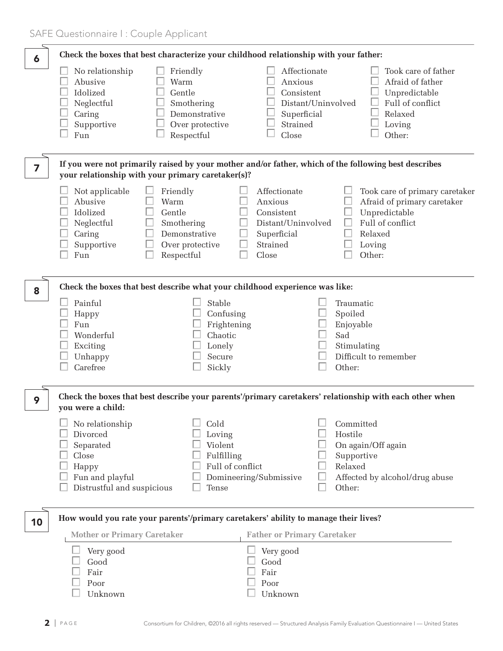| 6  |                                                                                                             | Check the boxes that best characterize your childhood relationship with your father:       |                                                                                                 |                                                                                                                                   |
|----|-------------------------------------------------------------------------------------------------------------|--------------------------------------------------------------------------------------------|-------------------------------------------------------------------------------------------------|-----------------------------------------------------------------------------------------------------------------------------------|
|    | No relationship<br>Abusive<br>Idolized<br>Neglectful<br>Caring<br>Supportive<br>Fun                         | Friendly<br>Warm<br>Gentle<br>Smothering<br>Demonstrative<br>Over protective<br>Respectful | Affectionate<br>Anxious<br>Consistent<br>Superficial<br>Strained<br>Close                       | Took care of father<br>Afraid of father<br>Unpredictable<br>Full of conflict<br>Distant/Uninvolved<br>Relaxed<br>Loving<br>Other: |
| 7  |                                                                                                             | your relationship with your primary caretaker(s)?                                          |                                                                                                 | If you were not primarily raised by your mother and/or father, which of the following best describes                              |
|    | Not applicable<br>Abusive<br>Idolized<br>Neglectful<br>Caring<br>Supportive<br>Fun                          | Friendly<br>Warm<br>Gentle<br>Smothering<br>Demonstrative<br>Over protective<br>Respectful | Affectionate<br>Anxious<br>Consistent<br>Distant/Uninvolved<br>Superficial<br>Strained<br>Close | Took care of primary caretaker<br>Afraid of primary caretaker<br>Unpredictable<br>Full of conflict<br>Relaxed<br>Loving<br>Other: |
| 8  |                                                                                                             | Check the boxes that best describe what your childhood experience was like:                |                                                                                                 |                                                                                                                                   |
|    | Painful<br>Happy<br>Fun<br>Wonderful<br>Exciting<br>Unhappy<br>Carefree                                     | Stable<br>Confusing<br>Frightening<br>Chaotic<br>Lonely<br>Secure<br>Sickly                |                                                                                                 | Traumatic<br>Spoiled<br>Enjoyable<br>Sad<br>Stimulating<br>Difficult to remember<br>Other:                                        |
| 9  | you were a child:                                                                                           |                                                                                            |                                                                                                 | Check the boxes that best describe your parents'/primary caretakers' relationship with each other when                            |
|    | No relationship<br>Divorced<br>Separated<br>Close<br>Happy<br>Fun and playful<br>Distrustful and suspicious | Cold<br>Loving<br>Violent<br>Fulfilling<br>Tense                                           | Full of conflict<br>Domineering/Submissive                                                      | Committed<br>Hostile<br>On again/Off again<br>Supportive<br>Relaxed<br>Affected by alcohol/drug abuse<br>Other:                   |
| 10 | <b>Mother or Primary Caretaker</b>                                                                          | How would you rate your parents'/primary caretakers' ability to manage their lives?        | <b>Father or Primary Caretaker</b>                                                              |                                                                                                                                   |
|    | Very good<br>Good<br>Fair<br>Poor<br>Unknown                                                                |                                                                                            | Very good<br>Good<br>Fair<br>Poor<br>Unknown                                                    |                                                                                                                                   |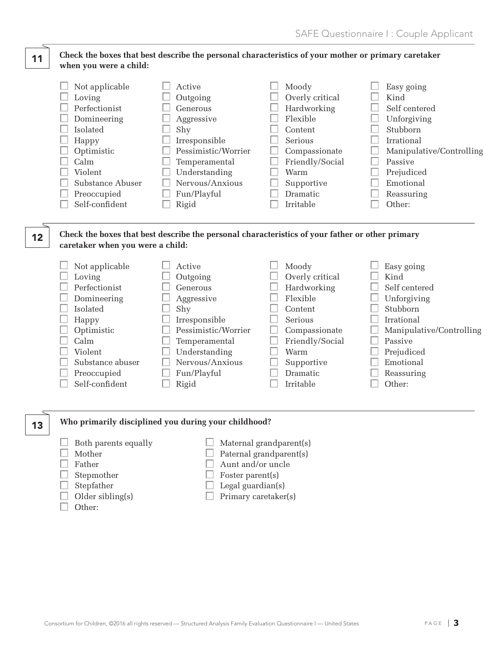#### **Check the boxes that best describe the personal characteristics of your mother or primary caretaker when you were a child:** 11

| Not applicable   | Active              | Moody           | Easy going               |
|------------------|---------------------|-----------------|--------------------------|
| Loving           | Outgoing            | Overly critical | Kind                     |
| Perfectionist    | Generous            | Hardworking     | Self centered            |
| Domineering      | Aggressive          | Flexible        | Unforgiving              |
| Isolated         | Shy                 | Content         | Stubborn                 |
| Happy            | Irresponsible       | Serious         | Irrational               |
| Optimistic       | Pessimistic/Worrier | Compassionate   | Manipulative/Controlling |
| Calm             | Temperamental       | Friendly/Social | Passive                  |
| Violent          | Understanding       | Warm            | Prejudiced               |
| Substance Abuser | Nervous/Anxious     | Supportive      | Emotional                |
| Preoccupied      | Fun/Playful         | Dramatic        | Reassuring               |
| Self-confident   | Rigid               | Irritable       | Other:                   |

## **Check the boxes that best describe the personal characteristics of your father or other primary caretaker when you were a child:**

| Not applicable   | Active              | Moody           | Easy going               |
|------------------|---------------------|-----------------|--------------------------|
| Loving           | Outgoing            | Overly critical | Kind                     |
| Perfectionist    | Generous            | Hardworking     | Self centered            |
| Domineering      | Aggressive          | Flexible        | Unforgiving              |
| <b>Isolated</b>  | Shy                 | Content         | Stubborn                 |
| Happy            | Irresponsible       | Serious         | Irrational               |
| Optimistic       | Pessimistic/Worrier | Compassionate   | Manipulative/Controlling |
| Calm             | Temperamental       | Friendly/Social | Passive                  |
| Violent          | Understanding       | Warm            | Prejudiced               |
| Substance abuser | Nervous/Anxious     | Supportive      | Emotional                |
| Preoccupied      | Fun/Playful         | <b>Dramatic</b> | Reassuring               |
| Self-confident   | Rigid               | Irritable       | Other:                   |

## **Who primarily disciplined you during your childhood?**

- $\Box$  Both parents equally  $\Box$  Maternal grandparent(s)
- 
- 

12

13

- 
- 
- 
- $\Box$  Other:
- $\Box$  Mother  $\Box$  Paternal grandparent(s)
- $\Box$  Father  $\Box$  Aunt and/or uncle
- $\Box$  Stepmother  $\Box$  Foster parent(s)
- $\Box$  Stepfather  $\Box$  Legal guardian(s)
- $\Box$  Older sibling(s)  $\Box$  Primary caretaker(s)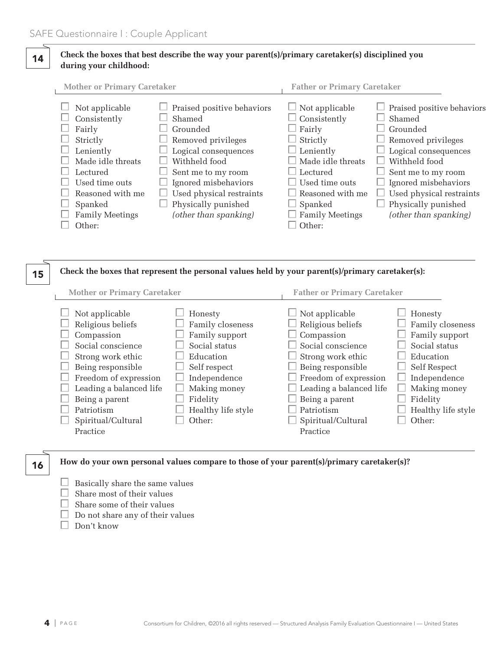## **Check the boxes that best describe the way your parent(s)/primary caretaker(s) disciplined you during your childhood:** 14

| <b>Mother or Primary Caretaker</b>                                                                                                       |                                                                                                                                                                                           | <b>Father or Primary Caretaker</b>                                                                                                                                                   |                                                                                                                                                                                           |
|------------------------------------------------------------------------------------------------------------------------------------------|-------------------------------------------------------------------------------------------------------------------------------------------------------------------------------------------|--------------------------------------------------------------------------------------------------------------------------------------------------------------------------------------|-------------------------------------------------------------------------------------------------------------------------------------------------------------------------------------------|
| Not applicable<br>Consistently<br>Fairly<br>Strictly<br>Leniently<br>Made idle threats<br>Lectured<br>Used time outs<br>Reasoned with me | Praised positive behaviors<br>Shamed<br>Grounded<br>Removed privileges<br>Logical consequences<br>Withheld food<br>Sent me to my room<br>Ignored misbehaviors<br>Used physical restraints | $\Box$ Not applicable<br>Consistently<br>$\Box$ Fairly<br>Strictly<br>$\perp$ Leniently<br>$\Box$ Made idle threats<br>$\perp$ Lectured<br>$\Box$ Used time outs<br>Reasoned with me | Praised positive behaviors<br>Shamed<br>Grounded<br>Removed privileges<br>Logical consequences<br>Withheld food<br>Sent me to my room<br>Ignored misbehaviors<br>Used physical restraints |
| Spanked                                                                                                                                  | Physically punished                                                                                                                                                                       | $\Box$ Spanked                                                                                                                                                                       | Physically punished                                                                                                                                                                       |
| <b>Family Meetings</b>                                                                                                                   | (other than spanking)                                                                                                                                                                     | <b>Family Meetings</b>                                                                                                                                                               | (other than spanking)                                                                                                                                                                     |
| Other:                                                                                                                                   |                                                                                                                                                                                           | Other:                                                                                                                                                                               |                                                                                                                                                                                           |

#### **Check the boxes that represent the personal values held by your parent(s)/primary caretaker(s):** 15

16

**How do your own personal values compare to those of your parent(s)/primary caretaker(s)?**

- $\Box$  Basically share the same values
- $\Box$  Share most of their values
- $\Box$  Share some of their values
- $\Box$  Do not share any of their values
- $\Box$  Don't know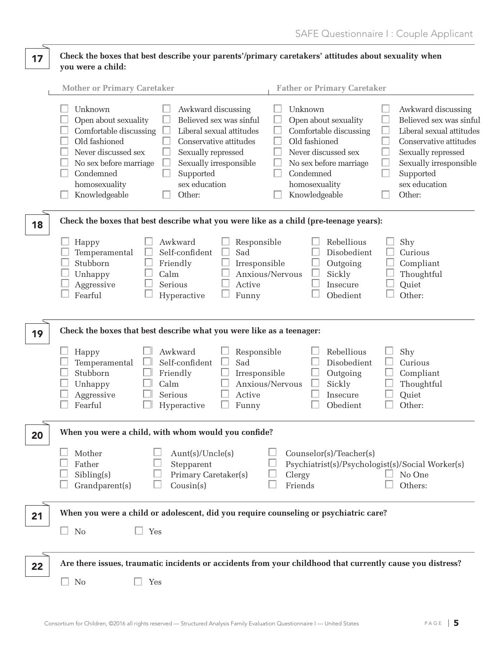### **Check the boxes that best describe your parents'/primary caretakers' attitudes about sexuality when you were a child:** 17

|    | <b>Mother or Primary Caretaker</b><br><b>Father or Primary Caretaker</b>                                                                                                                                                                                                                                                                                                                                                                                                                                                                                                                                                                                                                                                                               |
|----|--------------------------------------------------------------------------------------------------------------------------------------------------------------------------------------------------------------------------------------------------------------------------------------------------------------------------------------------------------------------------------------------------------------------------------------------------------------------------------------------------------------------------------------------------------------------------------------------------------------------------------------------------------------------------------------------------------------------------------------------------------|
|    | Unknown<br>Awkward discussing<br>Unknown<br>Awkward discussing<br>Open about sexuality<br>Believed sex was sinful<br>Believed sex was sinful<br>Open about sexuality<br>Comfortable discussing<br>Liberal sexual attitudes<br>Comfortable discussing<br>Liberal sexual attitudes<br>Old fashioned<br>Old fashioned<br>Conservative attitudes<br>Conservative attitudes<br>Never discussed sex<br>Never discussed sex<br>Sexually repressed<br>Sexually repressed<br>Sexually irresponsible<br>Sexually irresponsible<br>No sex before marriage<br>No sex before marriage<br>Supported<br>Condemned<br>Condemned<br>Supported<br>sex education<br>sex education<br>homosexuality<br>homosexuality<br>Knowledgeable<br>Other:<br>Knowledgeable<br>Other: |
| 18 | Check the boxes that best describe what you were like as a child (pre-teenage years):                                                                                                                                                                                                                                                                                                                                                                                                                                                                                                                                                                                                                                                                  |
|    | Rebellious<br>Awkward<br>Shy<br>Responsible<br>Happy<br>Sad<br>Self-confident<br>Disobedient<br>Curious<br>Temperamental<br>Stubborn<br>Friendly<br>Irresponsible<br>Outgoing<br>Compliant<br>Calm<br>Anxious/Nervous<br>Sickly<br>Thoughtful<br>Unhappy<br>Serious<br>Quiet<br>Aggressive<br>Active<br>Insecure<br>Other:<br>Fearful<br>Obedient<br>Hyperactive<br>Funny                                                                                                                                                                                                                                                                                                                                                                              |
| 19 | Check the boxes that best describe what you were like as a teenager:                                                                                                                                                                                                                                                                                                                                                                                                                                                                                                                                                                                                                                                                                   |
|    | Rebellious<br>Awkward<br>Shy<br>Happy<br>Responsible<br>Self-confident<br>Sad<br>Disobedient<br>Curious<br>Temperamental<br>Stubborn<br>Friendly<br>Outgoing<br>Compliant<br>Irresponsible<br>Anxious/Nervous<br>Sickly<br>Thoughtful<br>Unhappy<br>Calm<br>Serious<br>Quiet<br>Aggressive<br>Active<br>Insecure<br>Other:<br>Fearful<br>Obedient<br>Hyperactive<br>Funny                                                                                                                                                                                                                                                                                                                                                                              |
| 20 | When you were a child, with whom would you confide?                                                                                                                                                                                                                                                                                                                                                                                                                                                                                                                                                                                                                                                                                                    |
|    | $\Box$<br>Mother<br>Aunt(s)/Uncle(s)<br>Counselor(s)/Teacher(s)<br>Father<br>Stepparent<br>Psychiatrist(s)/Psychologist(s)/Social Worker(s)<br>Primary Caretaker(s)<br>Sibling(s)<br>Clergy<br>No One<br>Friends<br>Grandparent(s)<br>Cousin(s)<br>Others:                                                                                                                                                                                                                                                                                                                                                                                                                                                                                             |
| 21 | When you were a child or adolescent, did you require counseling or psychiatric care?                                                                                                                                                                                                                                                                                                                                                                                                                                                                                                                                                                                                                                                                   |
|    | Yes<br>$\Box$<br>No                                                                                                                                                                                                                                                                                                                                                                                                                                                                                                                                                                                                                                                                                                                                    |
| 22 | Are there issues, traumatic incidents or accidents from your childhood that currently cause you distress?                                                                                                                                                                                                                                                                                                                                                                                                                                                                                                                                                                                                                                              |
|    | No<br>Yes                                                                                                                                                                                                                                                                                                                                                                                                                                                                                                                                                                                                                                                                                                                                              |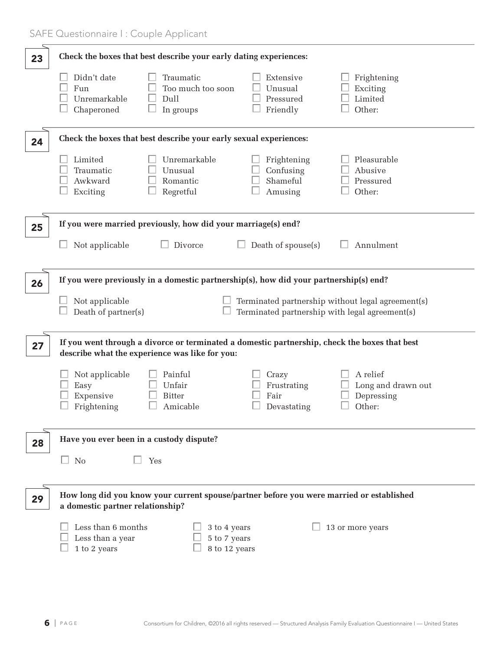| 23 | Check the boxes that best describe your early dating experiences:                                                                                                                                                                     |
|----|---------------------------------------------------------------------------------------------------------------------------------------------------------------------------------------------------------------------------------------|
|    | Didn't date<br>Traumatic<br>Extensive<br>Frightening<br>Too much too soon<br>Fun<br>Unusual<br>Exciting<br>Dull<br>Limited<br>Unremarkable<br>Pressured<br>Friendly<br>Other:<br>Chaperoned<br>In groups                              |
| 24 | Check the boxes that best describe your early sexual experiences:                                                                                                                                                                     |
|    | Unremarkable<br>Limited<br>Frightening<br>Pleasurable<br>Confusing<br>Unusual<br>Abusive<br>Traumatic<br>Shameful<br>Awkward<br>Romantic<br>Pressured<br>Regretful<br>Exciting<br>Amusing<br>Other:                                   |
| 25 | If you were married previously, how did your marriage(s) end?                                                                                                                                                                         |
|    | Divorce<br>Annulment<br>Not applicable<br>Death of spouse(s)                                                                                                                                                                          |
| 26 | If you were previously in a domestic partnership(s), how did your partnership(s) end?                                                                                                                                                 |
|    | Not applicable<br>Terminated partnership without legal agreement(s)<br>Death of partner(s)<br>Terminated partnership with legal agreement(s)                                                                                          |
| 27 | If you went through a divorce or terminated a domestic partnership, check the boxes that best<br>describe what the experience was like for you:                                                                                       |
|    | Not applicable<br>Painful<br>A relief<br>Crazy<br>Unfair<br>Frustrating<br>Long and drawn out<br>Easy<br>Fair<br>Expensive<br><b>Bitter</b><br>Depressing<br>Frightening<br>Other:<br>Amicable<br>$\label{eq:1} \textbf{Devastating}$ |
| 28 | Have you ever been in a custody dispute?                                                                                                                                                                                              |
|    | $\Box$ No<br>Yes                                                                                                                                                                                                                      |
| 29 | How long did you know your current spouse/partner before you were married or established<br>a domestic partner relationship?                                                                                                          |
|    | Less than 6 months<br>13 or more years<br>3 to 4 years<br>Less than a year<br>5 to 7 years<br>$1$ to $2$ years<br>8 to 12 years                                                                                                       |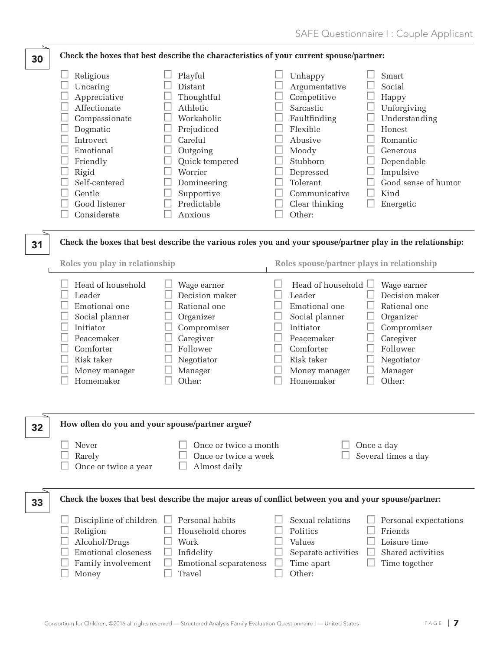| 30 | Check the boxes that best describe the characteristics of your current spouse/partner:                                                                                                       |                                                                                                                                                                                     |                                                                                                                                                                                                                                                                                                                                                             |  |
|----|----------------------------------------------------------------------------------------------------------------------------------------------------------------------------------------------|-------------------------------------------------------------------------------------------------------------------------------------------------------------------------------------|-------------------------------------------------------------------------------------------------------------------------------------------------------------------------------------------------------------------------------------------------------------------------------------------------------------------------------------------------------------|--|
|    | Religious<br>Uncaring<br>Appreciative<br>Affectionate<br>Compassionate<br>Dogmatic<br>Introvert<br>Emotional<br>Friendly<br>Rigid<br>Self-centered<br>Gentle<br>Good listener<br>Considerate | Playful<br>Distant<br>Thoughtful<br>Athletic<br>Workaholic<br>Prejudiced<br>Careful<br>Outgoing<br>Quick tempered<br>Worrier<br>Domineering<br>Supportive<br>Predictable<br>Anxious | Smart<br>Unhappy<br>Argumentative<br>Social<br>Competitive<br>Happy<br>Sarcastic<br>Unforgiving<br>Faultfinding<br>Understanding<br>Flexible<br>Honest<br>Abusive<br>Romantic<br>Moody<br>Generous<br>Stubborn<br>Dependable<br>Impulsive<br>Depressed<br>Good sense of humor<br>Tolerant<br>Kind<br>Communicative<br>Clear thinking<br>Energetic<br>Other: |  |
| 31 | Roles you play in relationship                                                                                                                                                               |                                                                                                                                                                                     | Check the boxes that best describe the various roles you and your spouse/partner play in the relationship:<br>Roles spouse/partner plays in relationship                                                                                                                                                                                                    |  |
|    | Head of household<br>Leader<br>Emotional one<br>Social planner<br>Initiator<br>Peacemaker<br>Comforter<br>Risk taker<br>Money manager<br>Homemaker                                           | Wage earner<br>Decision maker<br>Rational one<br>Organizer<br>Compromiser<br>Caregiver<br>Follower<br>Negotiator<br>Manager<br>Other:                                               | Head of household $\Box$<br>Wage earner<br>Leader<br>Decision maker<br>Emotional one<br>Rational one<br>Social planner<br>Organizer<br>Initiator<br>Compromiser<br>Caregiver<br>Peacemaker<br>Comforter<br>Follower<br>Risk taker<br>Negotiator<br>Money manager<br>Manager<br>Other:<br>Homemaker                                                          |  |
| 32 | How often do you and your spouse/partner argue?                                                                                                                                              |                                                                                                                                                                                     |                                                                                                                                                                                                                                                                                                                                                             |  |
|    | Never<br>Rarely<br>Once or twice a year                                                                                                                                                      | Once or twice a month<br>Once or twice a week<br>Almost daily                                                                                                                       | Once a day<br>Several times a day                                                                                                                                                                                                                                                                                                                           |  |
| 33 |                                                                                                                                                                                              |                                                                                                                                                                                     | Check the boxes that best describe the major areas of conflict between you and your spouse/partner:                                                                                                                                                                                                                                                         |  |
|    | Discipline of children<br>Religion<br>Alcohol/Drugs<br><b>Emotional closeness</b><br>Family involvement<br>Money                                                                             | Personal habits<br>Household chores<br>Work<br>Infidelity<br>Emotional separateness<br>Travel                                                                                       | Sexual relations<br>Personal expectations<br>Friends<br>Politics<br>Values<br>Leisure time<br>Shared activities<br>Separate activities<br>Time apart<br>Time together<br>Other:                                                                                                                                                                             |  |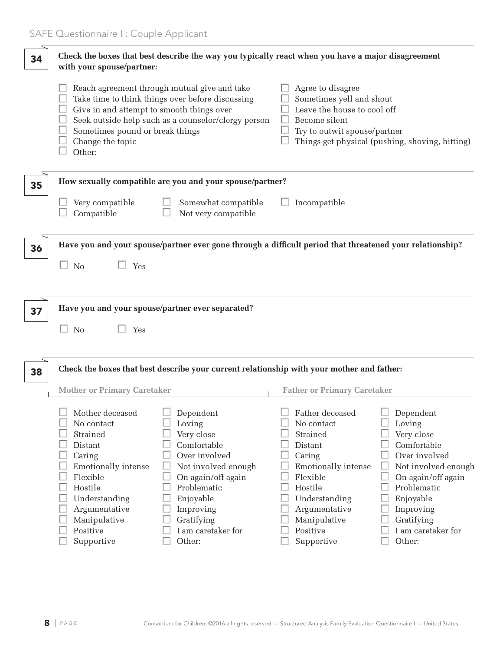| 34 | Check the boxes that best describe the way you typically react when you have a major disagreement<br>with your spouse/partner:                                                                  |                                                                                                                                                                                                       |                                                                                                                                                                                          |                                                                                                                                                                                                       |
|----|-------------------------------------------------------------------------------------------------------------------------------------------------------------------------------------------------|-------------------------------------------------------------------------------------------------------------------------------------------------------------------------------------------------------|------------------------------------------------------------------------------------------------------------------------------------------------------------------------------------------|-------------------------------------------------------------------------------------------------------------------------------------------------------------------------------------------------------|
|    | Give in and attempt to smooth things over<br>Sometimes pound or break things<br>Change the topic<br>Other:                                                                                      | Reach agreement through mutual give and take<br>Take time to think things over before discussing<br>Seek outside help such as a counselor/clergy person                                               | Agree to disagree<br>Sometimes yell and shout<br>Leave the house to cool off<br>Become silent<br>Try to outwit spouse/partner                                                            | Things get physical (pushing, shoving, hitting)                                                                                                                                                       |
| 35 |                                                                                                                                                                                                 | How sexually compatible are you and your spouse/partner?                                                                                                                                              |                                                                                                                                                                                          |                                                                                                                                                                                                       |
|    | Very compatible<br>Compatible                                                                                                                                                                   | Somewhat compatible<br>Not very compatible                                                                                                                                                            | Incompatible                                                                                                                                                                             |                                                                                                                                                                                                       |
| 36 |                                                                                                                                                                                                 | Have you and your spouse/partner ever gone through a difficult period that threatened your relationship?                                                                                              |                                                                                                                                                                                          |                                                                                                                                                                                                       |
|    | $\Box$ No<br>Yes                                                                                                                                                                                |                                                                                                                                                                                                       |                                                                                                                                                                                          |                                                                                                                                                                                                       |
|    |                                                                                                                                                                                                 |                                                                                                                                                                                                       |                                                                                                                                                                                          |                                                                                                                                                                                                       |
| 37 | Have you and your spouse/partner ever separated?                                                                                                                                                |                                                                                                                                                                                                       |                                                                                                                                                                                          |                                                                                                                                                                                                       |
|    | <b>No</b><br>Yes                                                                                                                                                                                |                                                                                                                                                                                                       |                                                                                                                                                                                          |                                                                                                                                                                                                       |
| 38 |                                                                                                                                                                                                 | Check the boxes that best describe your current relationship with your mother and father:                                                                                                             |                                                                                                                                                                                          |                                                                                                                                                                                                       |
|    | <b>Mother or Primary Caretaker</b>                                                                                                                                                              |                                                                                                                                                                                                       | <b>Father or Primary Caretaker</b>                                                                                                                                                       |                                                                                                                                                                                                       |
|    | Mother deceased<br>No contact<br>Strained<br>Distant<br>Caring<br><b>Emotionally intense</b><br>Flexible<br>Hostile<br>Understanding<br>Argumentative<br>Manipulative<br>Positive<br>Supportive | Dependent<br>Loving<br>Very close<br>Comfortable<br>Over involved<br>Not involved enough<br>On again/off again<br>Problematic<br>Enjoyable<br>Improving<br>Gratifying<br>I am caretaker for<br>Other: | Father deceased<br>No contact<br>Strained<br>Distant<br>Caring<br>Emotionally intense<br>Flexible<br>Hostile<br>Understanding<br>Argumentative<br>Manipulative<br>Positive<br>Supportive | Dependent<br>Loving<br>Very close<br>Comfortable<br>Over involved<br>Not involved enough<br>On again/off again<br>Problematic<br>Enjoyable<br>Improving<br>Gratifying<br>I am caretaker for<br>Other: |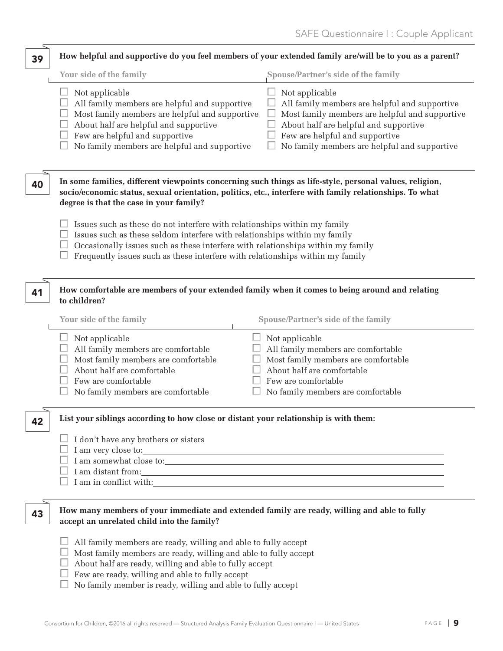| 39 | How helpful and supportive do you feel members of your extended family are/will be to you as a parent?                                                                                                                                                                                                                     |                                                                                                                                                                                                                                              |  |  |
|----|----------------------------------------------------------------------------------------------------------------------------------------------------------------------------------------------------------------------------------------------------------------------------------------------------------------------------|----------------------------------------------------------------------------------------------------------------------------------------------------------------------------------------------------------------------------------------------|--|--|
|    | Your side of the family                                                                                                                                                                                                                                                                                                    | Spouse/Partner's side of the family                                                                                                                                                                                                          |  |  |
|    | Not applicable<br>All family members are helpful and supportive<br>Most family members are helpful and supportive<br>About half are helpful and supportive<br>Few are helpful and supportive<br>No family members are helpful and supportive                                                                               | Not applicable<br>All family members are helpful and supportive<br>Most family members are helpful and supportive<br>About half are helpful and supportive<br>Few are helpful and supportive<br>No family members are helpful and supportive |  |  |
| 40 | In some families, different viewpoints concerning such things as life-style, personal values, religion,<br>socio/economic status, sexual orientation, politics, etc., interfere with family relationships. To what<br>degree is that the case in your family?                                                              |                                                                                                                                                                                                                                              |  |  |
|    | Issues such as these do not interfere with relationships within my family<br>Issues such as these seldom interfere with relationships within my family<br>Occasionally issues such as these interfere with relationships within my family<br>Frequently issues such as these interfere with relationships within my family |                                                                                                                                                                                                                                              |  |  |
| 41 | How comfortable are members of your extended family when it comes to being around and relating<br>to children?                                                                                                                                                                                                             |                                                                                                                                                                                                                                              |  |  |
|    | Your side of the family                                                                                                                                                                                                                                                                                                    | <b>Spouse/Partner's side of the family</b>                                                                                                                                                                                                   |  |  |
|    | Not applicable<br>All family members are comfortable<br>Most family members are comfortable<br>About half are comfortable<br>Few are comfortable<br>No family members are comfortable                                                                                                                                      | Not applicable<br>All family members are comfortable<br>Most family members are comfortable<br>About half are comfortable<br>Few are comfortable<br>No family members are comfortable                                                        |  |  |
| 42 | List your siblings according to how close or distant your relationship is with them:                                                                                                                                                                                                                                       |                                                                                                                                                                                                                                              |  |  |
|    | I don't have any brothers or sisters                                                                                                                                                                                                                                                                                       |                                                                                                                                                                                                                                              |  |  |
| 43 | How many members of your immediate and extended family are ready, willing and able to fully<br>accept an unrelated child into the family?                                                                                                                                                                                  |                                                                                                                                                                                                                                              |  |  |
|    | All family members are ready, willing and able to fully accept<br>Most family members are ready, willing and able to fully accept<br>About half are ready, willing and able to fully accept<br>Few are ready, willing and able to fully accept<br>No family member is ready, willing and able to fully accept              |                                                                                                                                                                                                                                              |  |  |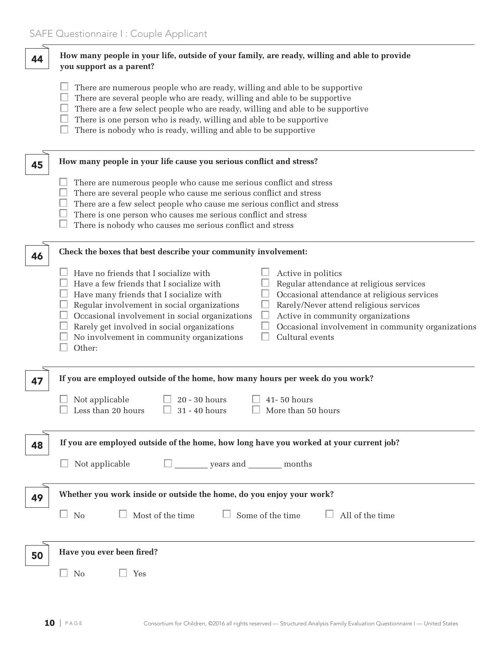| 44 | How many people in your life, outside of your family, are ready, willing and able to provide<br>you support as a parent?                                                                                                                                                                                                                                                                                                                                                                                                                                                                                    |
|----|-------------------------------------------------------------------------------------------------------------------------------------------------------------------------------------------------------------------------------------------------------------------------------------------------------------------------------------------------------------------------------------------------------------------------------------------------------------------------------------------------------------------------------------------------------------------------------------------------------------|
|    | There are numerous people who are ready, willing and able to be supportive<br>There are several people who are ready, willing and able to be supportive<br>There are a few select people who are ready, willing and able to be supportive<br>There is one person who is ready, willing and able to be supportive<br>There is nobody who is ready, willing and able to be supportive                                                                                                                                                                                                                         |
| 45 | How many people in your life cause you serious conflict and stress?                                                                                                                                                                                                                                                                                                                                                                                                                                                                                                                                         |
|    | There are numerous people who cause me serious conflict and stress<br>There are several people who cause me serious conflict and stress<br>There are a few select people who cause me serious conflict and stress<br>There is one person who causes me serious conflict and stress<br>There is nobody who causes me serious conflict and stress                                                                                                                                                                                                                                                             |
| 46 | Check the boxes that best describe your community involvement:                                                                                                                                                                                                                                                                                                                                                                                                                                                                                                                                              |
|    | Have no friends that I socialize with<br>Active in politics<br>Have a few friends that I socialize with<br>Regular attendance at religious services<br>Occasional attendance at religious services<br>Have many friends that I socialize with<br>Rarely/Never attend religious services<br>Regular involvement in social organizations<br>Occasional involvement in social organizations<br>Active in community organizations<br>Occasional involvement in community organizations<br>Rarely get involved in social organizations<br>Cultural events<br>No involvement in community organizations<br>Other: |
| 47 | If you are employed outside of the home, how many hours per week do you work?                                                                                                                                                                                                                                                                                                                                                                                                                                                                                                                               |
|    | 20 - 30 hours<br>Not applicable<br>41-50 hours<br>Less than 20 hours<br>31 - 40 hours<br>More than 50 hours                                                                                                                                                                                                                                                                                                                                                                                                                                                                                                 |
| 48 | If you are employed outside of the home, how long have you worked at your current job?                                                                                                                                                                                                                                                                                                                                                                                                                                                                                                                      |
|    | $\square$ years and ________ months<br>Not applicable                                                                                                                                                                                                                                                                                                                                                                                                                                                                                                                                                       |
| 49 | Whether you work inside or outside the home, do you enjoy your work?                                                                                                                                                                                                                                                                                                                                                                                                                                                                                                                                        |
|    | $\Box$ Most of the time<br>$\Box$ Some of the time<br>$\Box$ All of the time<br>$\Box$ No                                                                                                                                                                                                                                                                                                                                                                                                                                                                                                                   |
| 50 | Have you ever been fired?                                                                                                                                                                                                                                                                                                                                                                                                                                                                                                                                                                                   |
|    | No<br>Yes                                                                                                                                                                                                                                                                                                                                                                                                                                                                                                                                                                                                   |